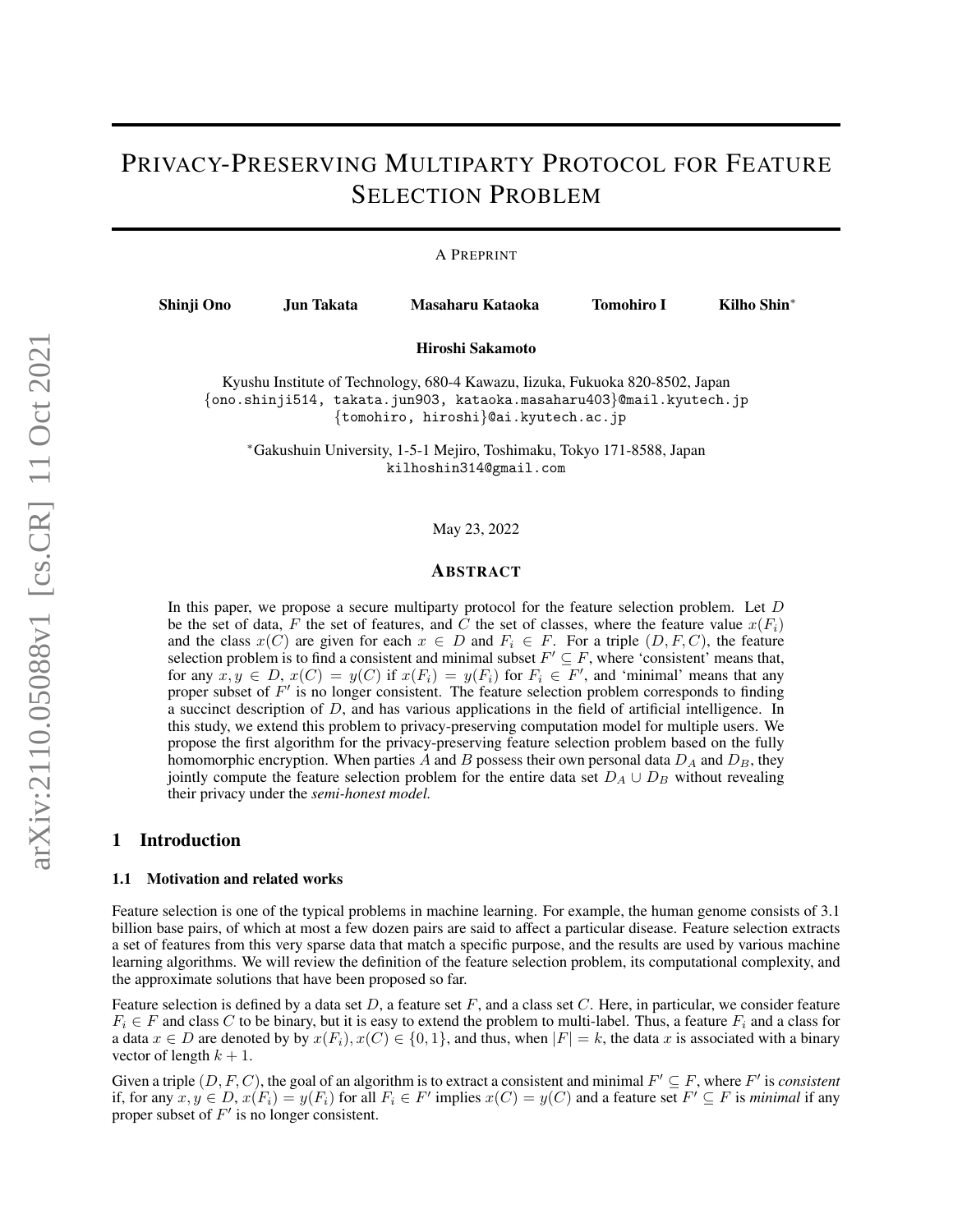# PRIVACY-PRESERVING MULTIPARTY PROTOCOL FOR FEATURE SELECTION PROBLEM

A PREPRINT

Shinji Ono Jun Takata Masaharu Kataoka Tomohiro I Kilho Shin<sup>∗</sup>

Hiroshi Sakamoto

Kyushu Institute of Technology, 680-4 Kawazu, Iizuka, Fukuoka 820-8502, Japan {ono.shinji514, takata.jun903, kataoka.masaharu403}@mail.kyutech.jp {tomohiro, hiroshi}@ai.kyutech.ac.jp

<sup>∗</sup>Gakushuin University, 1-5-1 Mejiro, Toshimaku, Tokyo 171-8588, Japan kilhoshin314@gmail.com

May 23, 2022

## ABSTRACT

In this paper, we propose a secure multiparty protocol for the feature selection problem. Let D be the set of data, F the set of features, and C the set of classes, where the feature value  $x(F_i)$ and the class  $x(C)$  are given for each  $x \in D$  and  $F_i \in F$ . For a triple  $(D, F, C)$ , the feature selection problem is to find a consistent and minimal subset  $F' \subseteq F$ , where 'consistent' means that, for any  $x, y \in D$ ,  $x(C) = y(C)$  if  $x(F_i) = y(F_i)$  for  $F_i \in F'$ , and 'minimal' means that any proper subset of  $F'$  is no longer consistent. The feature selection problem corresponds to finding a succinct description of D, and has various applications in the field of artificial intelligence. In this study, we extend this problem to privacy-preserving computation model for multiple users. We propose the first algorithm for the privacy-preserving feature selection problem based on the fully homomorphic encryption. When parties A and B possess their own personal data  $D_A$  and  $D_B$ , they jointly compute the feature selection problem for the entire data set  $D_A \cup D_B$  without revealing their privacy under the *semi-honest model.*

# 1 Introduction

#### 1.1 Motivation and related works

Feature selection is one of the typical problems in machine learning. For example, the human genome consists of 3.1 billion base pairs, of which at most a few dozen pairs are said to affect a particular disease. Feature selection extracts a set of features from this very sparse data that match a specific purpose, and the results are used by various machine learning algorithms. We will review the definition of the feature selection problem, its computational complexity, and the approximate solutions that have been proposed so far.

Feature selection is defined by a data set  $D$ , a feature set  $F$ , and a class set  $C$ . Here, in particular, we consider feature  $F_i \in F$  and class C to be binary, but it is easy to extend the problem to multi-label. Thus, a feature  $F_i$  and a class for a data  $x \in D$  are denoted by by  $x(F_i), x(C) \in \{0, 1\}$ , and thus, when  $|F| = k$ , the data x is associated with a binary vector of length  $k + 1$ .

Given a triple  $(D, F, C)$ , the goal of an algorithm is to extract a consistent and minimal  $F' \subseteq F$ , where  $F'$  is *consistent* if, for any  $x, y \in D$ ,  $x(F_i) = y(F_i)$  for all  $F_i \in F'$  implies  $x(C) = y(C)$  and a feature set  $F' \subseteq F$  is *minimal* if any proper subset of  $F'$  is no longer consistent.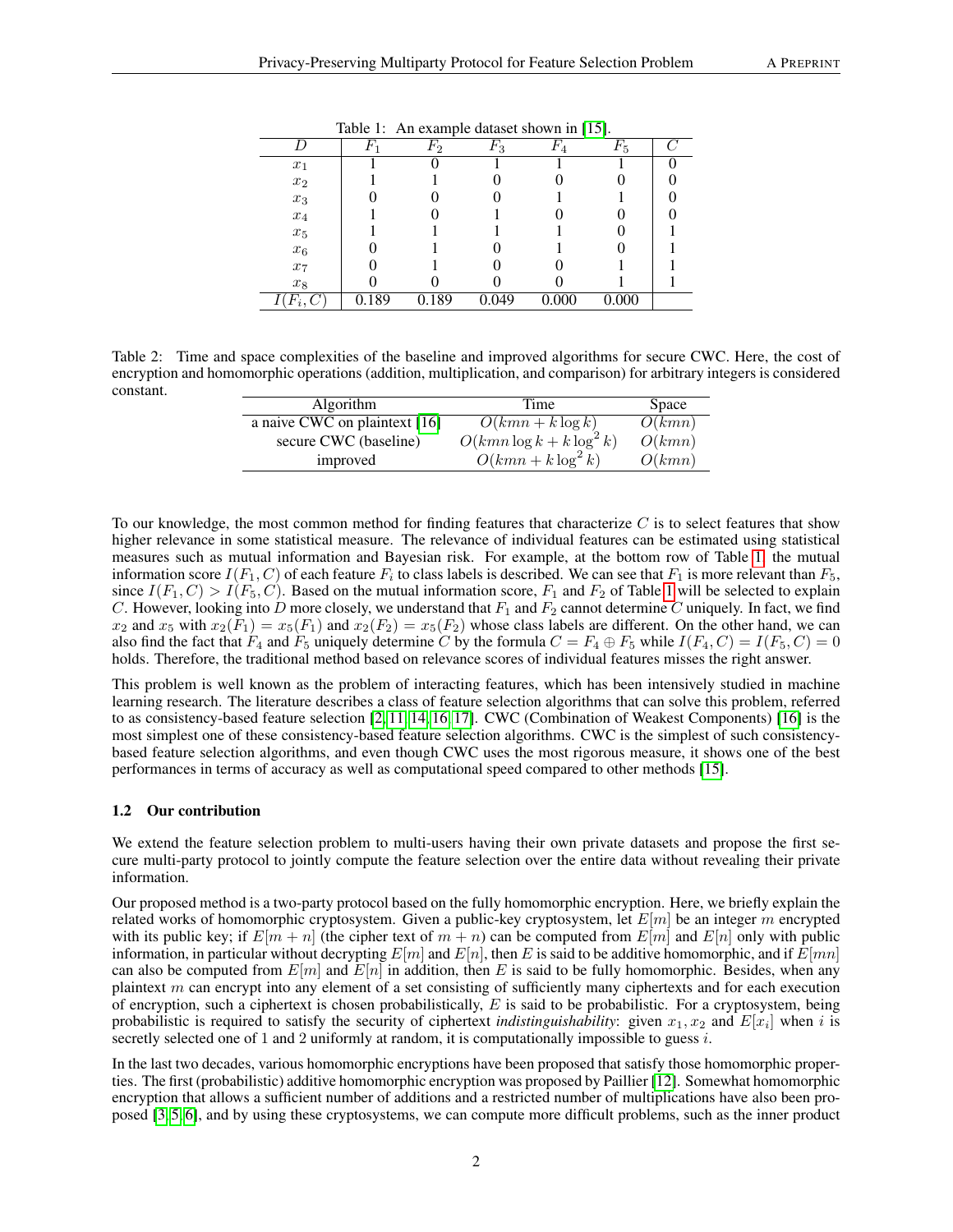|                    | $\,F_1$ | $F_2$ | Г3    | $\scriptstyle F_4$ | $F_{5}$ |  |
|--------------------|---------|-------|-------|--------------------|---------|--|
| $x_1$              |         |       |       |                    |         |  |
| $x_2$              |         |       |       |                    |         |  |
| $x_3$              |         |       |       |                    |         |  |
| $\boldsymbol{x}_4$ |         |       |       |                    |         |  |
| $\boldsymbol{x}_5$ |         |       |       |                    |         |  |
| $x_6$              |         |       |       |                    |         |  |
| $x_7$              |         |       |       |                    |         |  |
| $x_8$              |         |       |       |                    |         |  |
| $F_i,$             | 0.189   | 189   | 0.049 | .000               | 0.000   |  |

<span id="page-1-0"></span>Table 1: An example dataset shown in [\[15\]](#page-8-0).

<span id="page-1-1"></span>Table 2: Time and space complexities of the baseline and improved algorithms for secure CWC. Here, the cost of encryption and homomorphic operations (addition, multiplication, and comparison) for arbitrary integers is considered constant.

| <b>Algorithm</b>                      | Time                       | <b>Space</b> |
|---------------------------------------|----------------------------|--------------|
| a naive CWC on plaintext $\boxed{16}$ | $O(kmn + k \log k)$        | O(kmn)       |
| secure CWC (baseline)                 | $O(kmn\log k + k\log^2 k)$ | O(kmn)       |
| improved                              | $O(kmn + k \log^2 k)$      | O(kmn)       |

To our knowledge, the most common method for finding features that characterize  $C$  is to select features that show higher relevance in some statistical measure. The relevance of individual features can be estimated using statistical measures such as mutual information and Bayesian risk. For example, at the bottom row of Table [1,](#page-1-0) the mutual information score  $I(F_1, C)$  of each feature  $F_i$  to class labels is described. We can see that  $F_1$  is more relevant than  $F_5$ , since  $I(F_1, C) > I(F_5, C)$ . Based on the mutual information score,  $F_1$  and  $F_2$  of Table [1](#page-1-0) will be selected to explain C. However, looking into D more closely, we understand that  $F_1$  and  $F_2$  cannot determine C uniquely. In fact, we find  $x_2$  and  $x_5$  with  $x_2(F_1) = x_5(F_1)$  and  $x_2(F_2) = x_5(F_2)$  whose class labels are different. On the other hand, we can also find the fact that  $F_4$  and  $F_5$  uniquely determine C by the formula  $C = F_4 \oplus F_5$  while  $I(F_4, C) = I(F_5, C) = 0$ holds. Therefore, the traditional method based on relevance scores of individual features misses the right answer.

This problem is well known as the problem of interacting features, which has been intensively studied in machine learning research. The literature describes a class of feature selection algorithms that can solve this problem, referred to as consistency-based feature selection [\[2,](#page-7-0) [11,](#page-8-2) [14,](#page-8-3) [16,](#page-8-1) [17\]](#page-8-4). CWC (Combination of Weakest Components) [\[16\]](#page-8-1) is the most simplest one of these consistency-based feature selection algorithms. CWC is the simplest of such consistencybased feature selection algorithms, and even though CWC uses the most rigorous measure, it shows one of the best performances in terms of accuracy as well as computational speed compared to other methods [\[15\]](#page-8-0).

#### 1.2 Our contribution

We extend the feature selection problem to multi-users having their own private datasets and propose the first secure multi-party protocol to jointly compute the feature selection over the entire data without revealing their private information.

Our proposed method is a two-party protocol based on the fully homomorphic encryption. Here, we briefly explain the related works of homomorphic cryptosystem. Given a public-key cryptosystem, let  $E[m]$  be an integer m encrypted with its public key; if  $E[m + n]$  (the cipher text of  $m + n$ ) can be computed from  $E[m]$  and  $E[n]$  only with public information, in particular without decrypting  $E[n]$  and  $E[n]$ , then E is said to be additive homomorphic, and if  $E[mn]$ can also be computed from  $E[m]$  and  $E[n]$  in addition, then E is said to be fully homomorphic. Besides, when any plaintext  $m$  can encrypt into any element of a set consisting of sufficiently many ciphertexts and for each execution of encryption, such a ciphertext is chosen probabilistically,  $E$  is said to be probabilistic. For a cryptosystem, being probabilistic is required to satisfy the security of ciphertext *indistinguishability*: given  $x_1, x_2$  and  $E[x_i]$  when i is secretly selected one of 1 and 2 uniformly at random, it is computationally impossible to guess  $i$ .

In the last two decades, various homomorphic encryptions have been proposed that satisfy those homomorphic properties. The first (probabilistic) additive homomorphic encryption was proposed by Paillier [\[12\]](#page-8-5). Somewhat homomorphic encryption that allows a sufficient number of additions and a restricted number of multiplications have also been proposed [\[3,](#page-7-1) [5,](#page-7-2) [6\]](#page-7-3), and by using these cryptosystems, we can compute more difficult problems, such as the inner product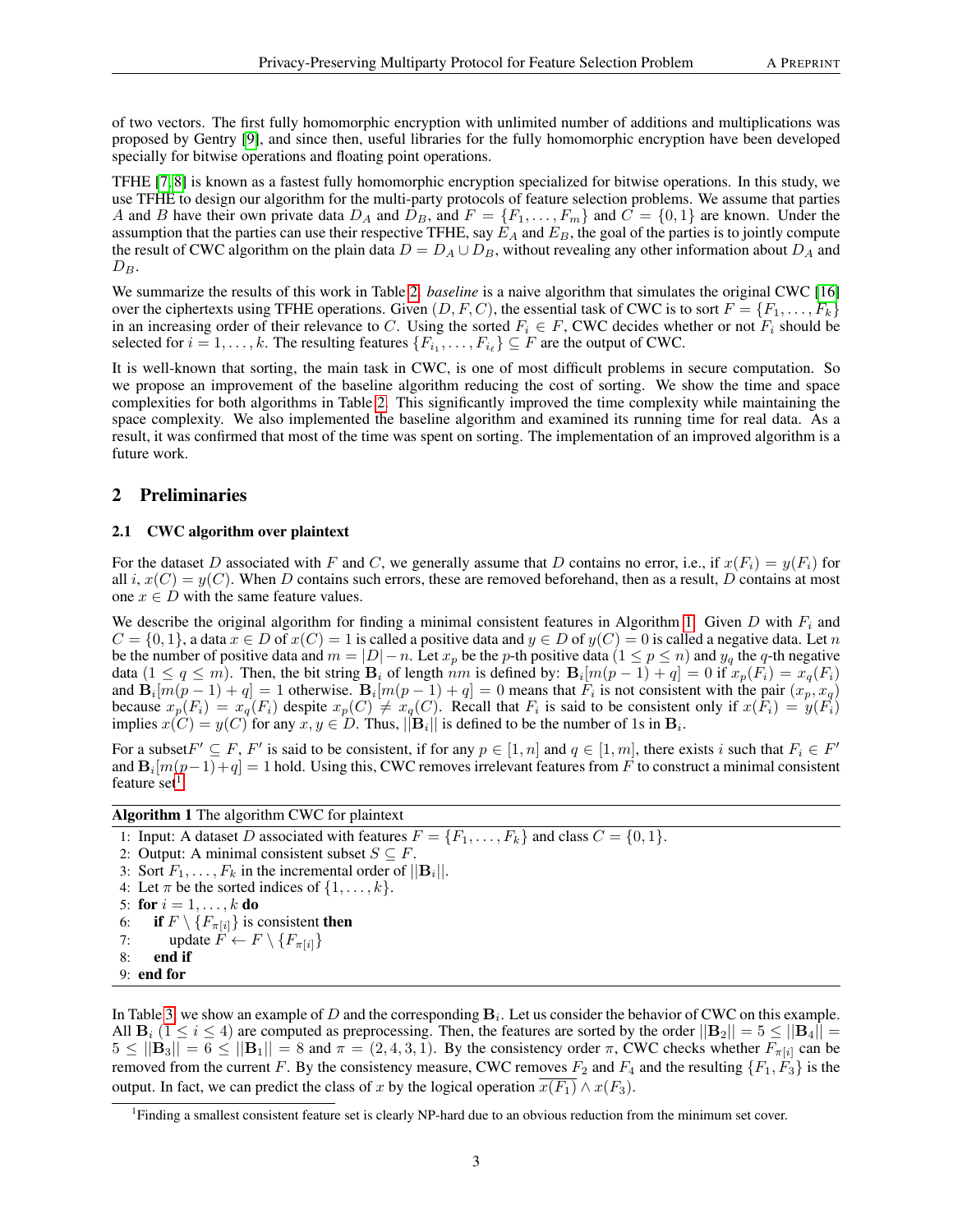of two vectors. The first fully homomorphic encryption with unlimited number of additions and multiplications was proposed by Gentry [\[9\]](#page-7-4), and since then, useful libraries for the fully homomorphic encryption have been developed specially for bitwise operations and floating point operations.

TFHE [\[7,](#page-7-5) [8\]](#page-7-6) is known as a fastest fully homomorphic encryption specialized for bitwise operations. In this study, we use TFHE to design our algorithm for the multi-party protocols of feature selection problems. We assume that parties A and B have their own private data  $D_A$  and  $\overline{D}_B$ , and  $F = \{F_1, \ldots, F_m\}$  and  $C = \{0, 1\}$  are known. Under the assumption that the parties can use their respective TFHE, say  $E_A$  and  $E_B$ , the goal of the parties is to jointly compute the result of CWC algorithm on the plain data  $D = D_A \cup D_B$ , without revealing any other information about  $D_A$  and  $D_B$ .

We summarize the results of this work in Table [2.](#page-1-1) *baseline* is a naive algorithm that simulates the original CWC [\[16\]](#page-8-1) over the ciphertexts using TFHE operations. Given  $(D, F, C)$ , the essential task of CWC is to sort  $F = \{F_1, \ldots, F_k\}$ in an increasing order of their relevance to C. Using the sorted  $F_i \in F$ , CWC decides whether or not  $F_i$  should be selected for  $i = 1, \ldots, k$ . The resulting features  $\{F_{i_1}, \ldots, F_{i_\ell}\} \subseteq F$  are the output of CWC.

It is well-known that sorting, the main task in CWC, is one of most difficult problems in secure computation. So we propose an improvement of the baseline algorithm reducing the cost of sorting. We show the time and space complexities for both algorithms in Table [2.](#page-1-1) This significantly improved the time complexity while maintaining the space complexity. We also implemented the baseline algorithm and examined its running time for real data. As a result, it was confirmed that most of the time was spent on sorting. The implementation of an improved algorithm is a future work.

# 2 Preliminaries

#### 2.1 CWC algorithm over plaintext

For the dataset D associated with F and C, we generally assume that D contains no error, i.e., if  $x(F_i) = y(F_i)$  for all i,  $x(C) = y(C)$ . When D contains such errors, these are removed beforehand, then as a result, D contains at most one  $x \in D$  with the same feature values.

We describe the original algorithm for finding a minimal consistent features in Algorithm [1.](#page-2-0) Given D with  $F_i$  and  $C = \{0, 1\}$ , a data  $x \in D$  of  $x(C) = 1$  is called a positive data and  $y \in D$  of  $y(C) = 0$  is called a negative data. Let n be the number of positive data and  $m = |D| - n$ . Let  $x_p$  be the p-th positive data  $(1 \le p \le n)$  and  $y_q$  the q-th negative data  $(1 \le q \le m)$ . Then, the bit string  $B_i$  of length  $nm$  is defined by:  $B_i[m(p-1)+q] = 0$  if  $x_p(F_i) = x_q(F_i)$ and  $\mathbf{B}_i[m(p-1)+q] = 1$  otherwise.  $\mathbf{B}_i[m(p-1)+q] = 0$  means that  $F_i$  is not consistent with the pair  $(x_p, x_q)$ because  $x_p(F_i) = x_q(F_i)$  despite  $x_p(C) \neq x_q(C)$ . Recall that  $F_i$  is said to be consistent only if  $x(F_i) = y(F_i)$ implies  $x(C) = y(C)$  for any  $x, y \in D$ . Thus,  $||\mathbf{B}_i||$  is defined to be the number of 1s in  $\mathbf{B}_i$ .

For a subset  $F' \subseteq F$ ,  $F'$  is said to be consistent, if for any  $p \in [1, n]$  and  $q \in [1, m]$ , there exists i such that  $F_i \in F'$ and  $B_i[m(p-1)+q] = 1$  hold. Using this, CWC removes irrelevant features from F to construct a minimal consistent feature set<sup>[1](#page-2-1)</sup>.

<span id="page-2-0"></span>Algorithm 1 The algorithm CWC for plaintext

1: Input: A dataset D associated with features  $F = \{F_1, \ldots, F_k\}$  and class  $C = \{0, 1\}$ .

- 2: Output: A minimal consistent subset  $S \subseteq F$ .
- 3: Sort  $F_1, \ldots, F_k$  in the incremental order of  $||\mathbf{B}_i||$ .

```
4: Let \pi be the sorted indices of \{1, \ldots, k\}.
```

```
5: for i = 1, ..., k do
```

```
6: if F \setminus \{F_{\pi[i]}\}\is consistent then
```

```
7: update \overline{F} \leftarrow F \setminus \{F_{\pi[i]}\}\
```

```
8: end if
```

```
9: end for
```
In Table [3,](#page-3-0) we show an example of D and the corresponding  $B_i$ . Let us consider the behavior of CWC on this example. All  $B_i$  (1  $\leq i \leq 4$ ) are computed as preprocessing. Then, the features are sorted by the order  $||B_2|| = 5 \leq ||B_4||$  $5 \leq ||\mathbf{B}_3|| = 6 \leq ||\mathbf{B}_1|| = 8$  and  $\pi = (2, 4, 3, 1)$ . By the consistency order  $\pi$ , CWC checks whether  $F_{\pi[i]}$  can be removed from the current F. By the consistency measure, CWC removes  $F_2$  and  $F_4$  and the resulting  $\{F_1, F_3\}$  is the output. In fact, we can predict the class of x by the logical operation  $\overline{x(F_1)} \wedge x(F_3)$ .

<span id="page-2-1"></span><sup>&</sup>lt;sup>1</sup>Finding a smallest consistent feature set is clearly NP-hard due to an obvious reduction from the minimum set cover.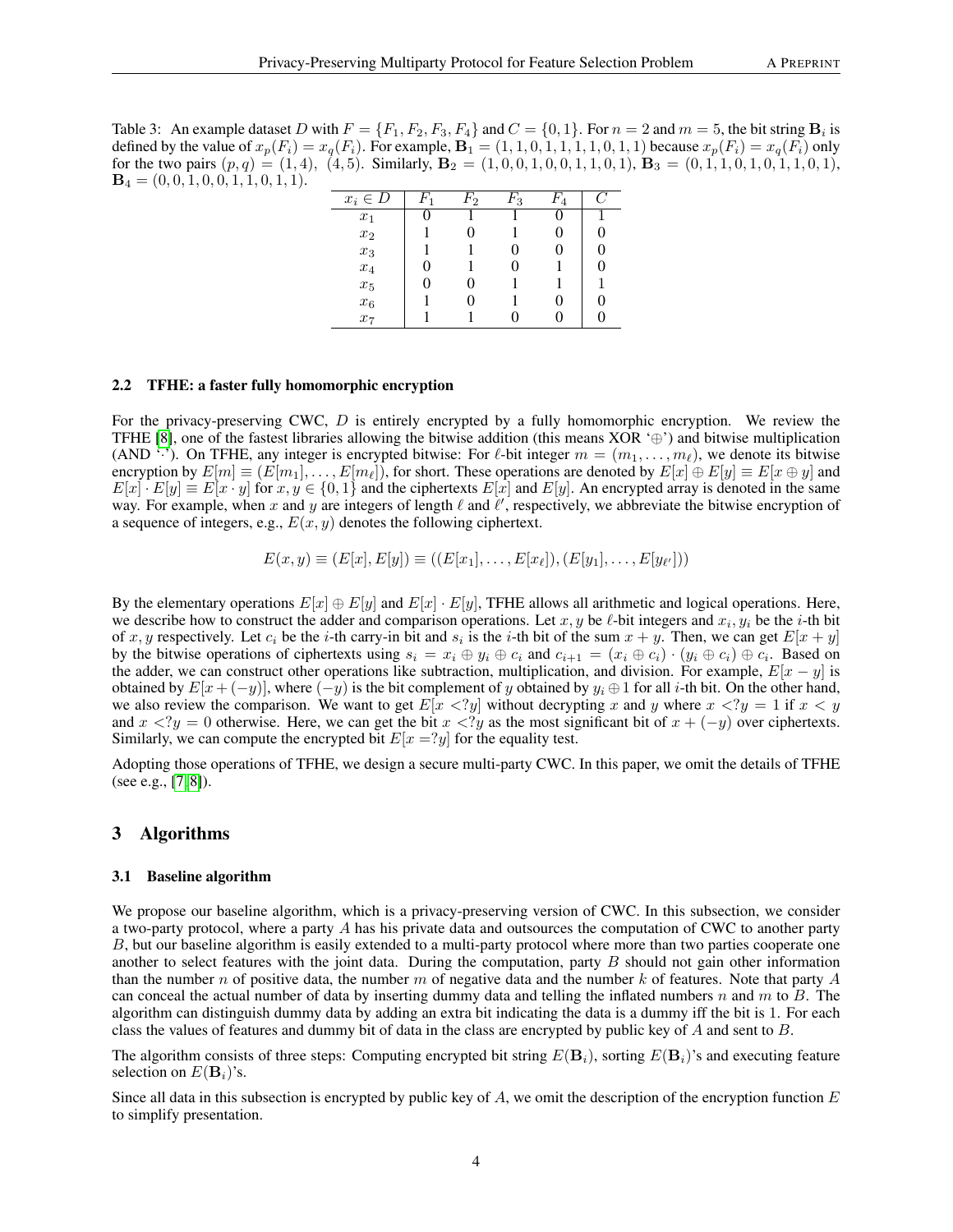<span id="page-3-0"></span>Table 3: An example dataset D with  $F = \{F_1, F_2, F_3, F_4\}$  and  $C = \{0, 1\}$ . For  $n = 2$  and  $m = 5$ , the bit string  $\mathbf{B}_i$  is defined by the value of  $x_p(F_i) = x_q(F_i)$ . For example,  $\mathbf{B}_1 = (1, 1, 0, 1, 1, 1, 1, 0, 1, 1)$  because  $x_p(F_i) = x_q(F_i)$  only for the two pairs  $(p, q) = (1, 4), (4, 5)$ . Similarly,  $\mathbf{B}_2 = (1, 0, 0, 1, 0, 0, 1, 1, 0, 1)$ ,  $\mathbf{B}_3 = (0, 1, 1, 0, 1, 0, 1, 1, 0, 1)$ ,  $\mathbf{B}_4 = (0, 0, 1, 0, 0, 1, 1, 0, 1, 1).$ 

| $x_i \in D$        | $^{\prime}2$ | 3 | 4 |  |
|--------------------|--------------|---|---|--|
| $x_1$              |              |   |   |  |
| $\boldsymbol{x}_2$ |              |   |   |  |
| $\boldsymbol{x_3}$ |              | 0 |   |  |
| $\boldsymbol{x}_4$ |              |   |   |  |
| $\boldsymbol{x}_5$ |              |   |   |  |
| $x_{\rm 6}$        |              |   |   |  |
| $x_7$              |              |   |   |  |

#### 2.2 TFHE: a faster fully homomorphic encryption

For the privacy-preserving CWC, D is entirely encrypted by a fully homomorphic encryption. We review the TFHE [\[8\]](#page-7-6), one of the fastest libraries allowing the bitwise addition (this means XOR  $\oplus$ ) and bitwise multiplication (AND '·'). On TFHE, any integer is encrypted bitwise: For  $\ell$ -bit integer  $m = (m_1, \ldots, m_\ell)$ , we denote its bitwise encryption by  $E[m] \equiv (E[m_1], \ldots, E[m_\ell])$ , for short. These operations are denoted by  $E[x] \oplus E[y] \equiv E[x \oplus y]$  and  $E[x] \cdot E[y] \equiv E[x \cdot y]$  for  $x, y \in \{0, 1\}$  and the ciphertexts  $E[x]$  and  $E[y]$ . An encrypted array is denoted in the same way. For example, when x and y are integers of length  $\ell$  and  $\ell'$ , respectively, we abbreviate the bitwise encryption of a sequence of integers, e.g.,  $E(x, y)$  denotes the following ciphertext.

$$
E(x,y) \equiv (E[x], E[y]) \equiv ((E[x_1], \ldots, E[x_\ell]), (E[y_1], \ldots, E[y_{\ell'}]))
$$

By the elementary operations  $E[x] \oplus E[y]$  and  $E[x] \cdot E[y]$ , TFHE allows all arithmetic and logical operations. Here, we describe how to construct the adder and comparison operations. Let x, y be  $\ell$ -bit integers and  $x_i, y_i$  be the i-th bit of x, y respectively. Let  $c_i$  be the i-th carry-in bit and  $s_i$  is the i-th bit of the sum  $x + y$ . Then, we can get  $E[x + y]$ by the bitwise operations of ciphertexts using  $s_i = x_i \oplus y_i \oplus c_i$  and  $c_{i+1} = (x_i \oplus c_i) \cdot (y_i \oplus c_i) \oplus c_i$ . Based on the adder, we can construct other operations like subtraction, multiplication, and division. For example,  $E[x - y]$  is obtained by  $E[x+(-y)]$ , where  $(-y)$  is the bit complement of y obtained by  $y_i \oplus 1$  for all i-th bit. On the other hand, we also review the comparison. We want to get  $E[x \leq ?y]$  without decrypting x and y where  $x \leq ?y = 1$  if  $x \leq y$ and  $x < ?y = 0$  otherwise. Here, we can get the bit  $x < ?y$  as the most significant bit of  $x + (-y)$  over ciphertexts. Similarly, we can compute the encrypted bit  $E[x = ?y]$  for the equality test.

Adopting those operations of TFHE, we design a secure multi-party CWC. In this paper, we omit the details of TFHE (see e.g., [\[7,](#page-7-5) [8\]](#page-7-6)).

# 3 Algorithms

#### 3.1 Baseline algorithm

We propose our baseline algorithm, which is a privacy-preserving version of CWC. In this subsection, we consider a two-party protocol, where a party A has his private data and outsources the computation of CWC to another party B, but our baseline algorithm is easily extended to a multi-party protocol where more than two parties cooperate one another to select features with the joint data. During the computation, party  $B$  should not gain other information than the number n of positive data, the number m of negative data and the number k of features. Note that party  $A$ can conceal the actual number of data by inserting dummy data and telling the inflated numbers n and m to  $B$ . The algorithm can distinguish dummy data by adding an extra bit indicating the data is a dummy iff the bit is 1. For each class the values of features and dummy bit of data in the class are encrypted by public key of A and sent to B.

The algorithm consists of three steps: Computing encrypted bit string  $E(\mathbf{B}_i)$ , sorting  $E(\mathbf{B}_i)$ 's and executing feature selection on  $E(\mathbf{B}_i)$ 's.

Since all data in this subsection is encrypted by public key of A, we omit the description of the encryption function  $E$ to simplify presentation.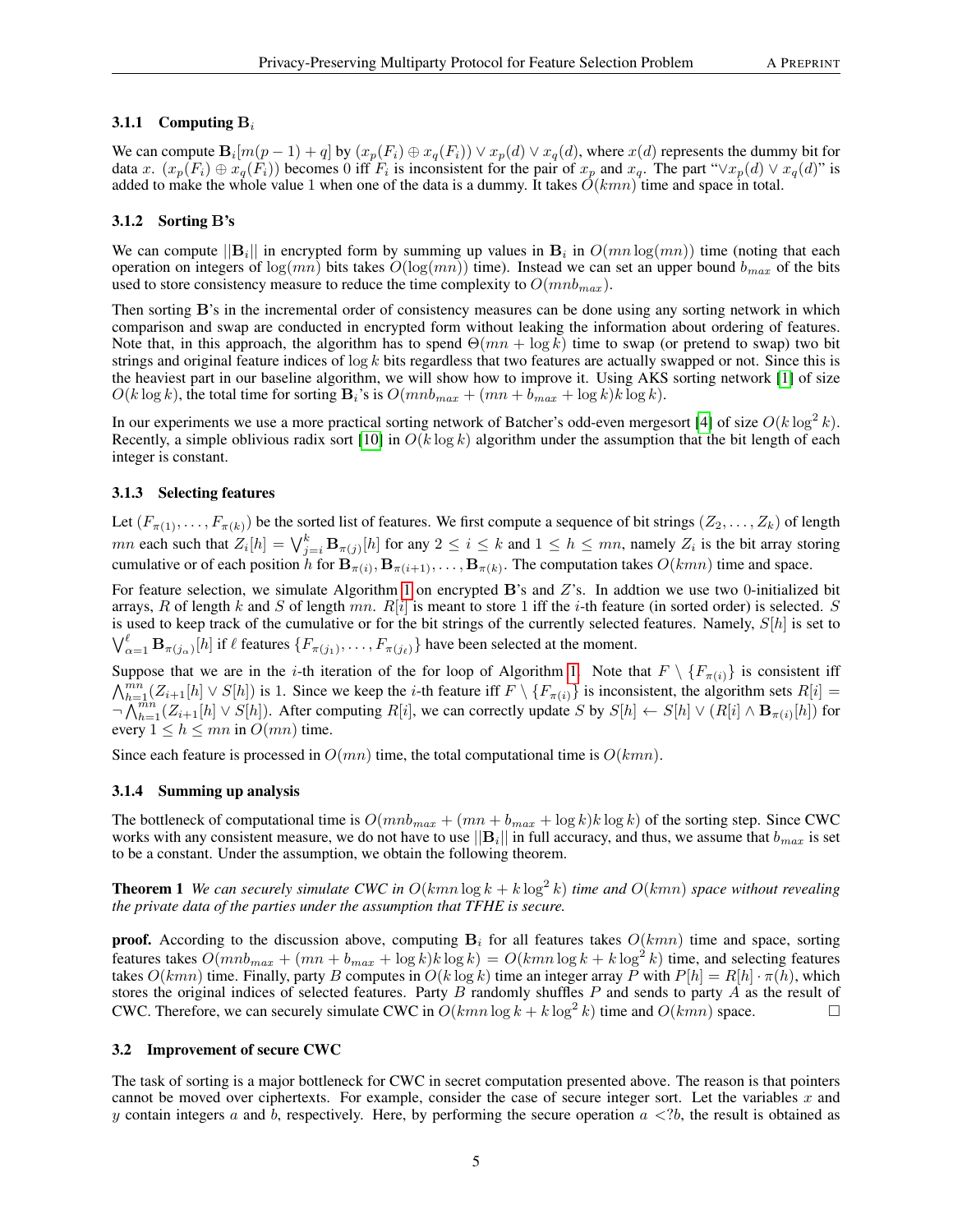# 3.1.1 Computing  $B_i$

We can compute  $B_i[m(p-1)+q]$  by  $(x_p(F_i) \oplus x_q(F_i)) \vee x_p(d) \vee x_q(d)$ , where  $x(d)$  represents the dummy bit for data x.  $(x_p(F_i) \oplus x_q(F_i))$  becomes 0 iff  $F_i$  is inconsistent for the pair of  $x_p$  and  $x_q$ . The part " $\vee x_p(d) \vee x_q(d)$ " is added to make the whole value 1 when one of the data is a dummy. It takes  $O(kmn)$  time and space in total.

# 3.1.2 Sorting B's

We can compute  $||\mathbf{B}_i||$  in encrypted form by summing up values in  $\mathbf{B}_i$  in  $O(mn \log(mn))$  time (noting that each operation on integers of  $\log(mn)$  bits takes  $O(\log(mn))$  time). Instead we can set an upper bound  $b_{max}$  of the bits used to store consistency measure to reduce the time complexity to  $O(mnb_{max})$ .

Then sorting B's in the incremental order of consistency measures can be done using any sorting network in which comparison and swap are conducted in encrypted form without leaking the information about ordering of features. Note that, in this approach, the algorithm has to spend  $\Theta(mn + \log k)$  time to swap (or pretend to swap) two bit strings and original feature indices of  $\log k$  bits regardless that two features are actually swapped or not. Since this is the heaviest part in our baseline algorithm, we will show how to improve it. Using AKS sorting network [\[1\]](#page-7-7) of size  $O(k \log k)$ , the total time for sorting  $\mathbf{B}_i$ 's is  $O(mnb_{max} + (mn + b_{max} + \log k)k \log k)$ .

In our experiments we use a more practical sorting network of Batcher's odd-even mergesort [\[4\]](#page-7-8) of size  $O(k \log^2 k)$ . Recently, a simple oblivious radix sort [\[10\]](#page-8-6) in  $O(k \log k)$  algorithm under the assumption that the bit length of each integer is constant.

### 3.1.3 Selecting features

Let  $(F_{\pi(1)},...,F_{\pi(k)})$  be the sorted list of features. We first compute a sequence of bit strings  $(Z_2,...,Z_k)$  of length mn each such that  $Z_i[h] = \bigvee_{j=i}^k \mathbf{B}_{\pi(j)}[h]$  for any  $2 \le i \le k$  and  $1 \le h \le mn$ , namely  $Z_i$  is the bit array storing cumulative or of each position h for  $B_{\pi(i)}$ ,  $B_{\pi(i+1)}, \ldots, B_{\pi(k)}$ . The computation takes  $O(kmn)$  time and space.

For feature selection, we simulate Algorithm [1](#page-2-0) on encrypted B's and Z's. In addtion we use two 0-initialized bit arrays, R of length k and S of length mn.  $R[i]$  is meant to store 1 iff the i-th feature (in sorted order) is selected. S is used to keep track of the cumulative or for the bit strings of the currently selected features. Namely,  $S[h]$  is set to  $\bigvee_{\alpha=1}^{\ell} \mathbf{B}_{\pi(j_{\alpha})}[h]$  if  $\ell$  features  $\{F_{\pi(j_1)}, \ldots, F_{\pi(j_{\ell})}\}$  have been selected at the moment.

Suppose that we are in the *i*-th iteration of the for loop of Algorithm [1.](#page-2-0) Note that  $F \setminus \{F_{\pi(i)}\}$  is consistent iff  $\bigwedge_{h=1}^{mn} (Z_{i+1}[h] \vee S[h])$  is 1. Since we keep the *i*-th feature iff  $F \setminus \{F_{\pi(i)}\}$  is inconsistent, the algorithm sets  $R[i] =$  $\neg \bigwedge_{h=1}^{mn} (Z_{i+1}[h] \vee S[h])$ . After computing  $R[i]$ , we can correctly update S by  $S[h] \leftarrow S[h] \vee (R[i] \wedge B_{\pi(i)}[h])$  for every  $1 \leq h \leq mn$  in  $O(mn)$  time.

Since each feature is processed in  $O(mn)$  time, the total computational time is  $O(kmn)$ .

#### 3.1.4 Summing up analysis

The bottleneck of computational time is  $O(mnb_{max} + (mn + b_{max} + \log k)k \log k)$  of the sorting step. Since CWC works with any consistent measure, we do not have to use  $||\mathbf{B}_i||$  in full accuracy, and thus, we assume that  $b_{max}$  is set to be a constant. Under the assumption, we obtain the following theorem.

**Theorem 1** We can securely simulate CWC in  $O(kmn \log k + k \log^2 k)$  time and  $O(kmn)$  space without revealing *the private data of the parties under the assumption that TFHE is secure.*

**proof.** According to the discussion above, computing  $B_i$  for all features takes  $O(kmn)$  time and space, sorting features takes  $O(mnb_{max} + (mn + b_{max} + \log k)k \log k) = O(kmn \log k + k \log^2 k)$  time, and selecting features takes  $O(kmn)$  time. Finally, party B computes in  $O(k \log k)$  time an integer array P with  $P[h] = R[h] \cdot \pi(h)$ , which stores the original indices of selected features. Party  $B$  randomly shuffles  $P$  and sends to party  $\vec{A}$  as the result of CWC. Therefore, we can securely simulate CWC in  $O(kmn \log k + k \log^2 k)$  time and  $O(kmn)$  space.

#### 3.2 Improvement of secure CWC

The task of sorting is a major bottleneck for CWC in secret computation presented above. The reason is that pointers cannot be moved over ciphertexts. For example, consider the case of secure integer sort. Let the variables x and y contain integers a and b, respectively. Here, by performing the secure operation  $a \lt 2b$ , the result is obtained as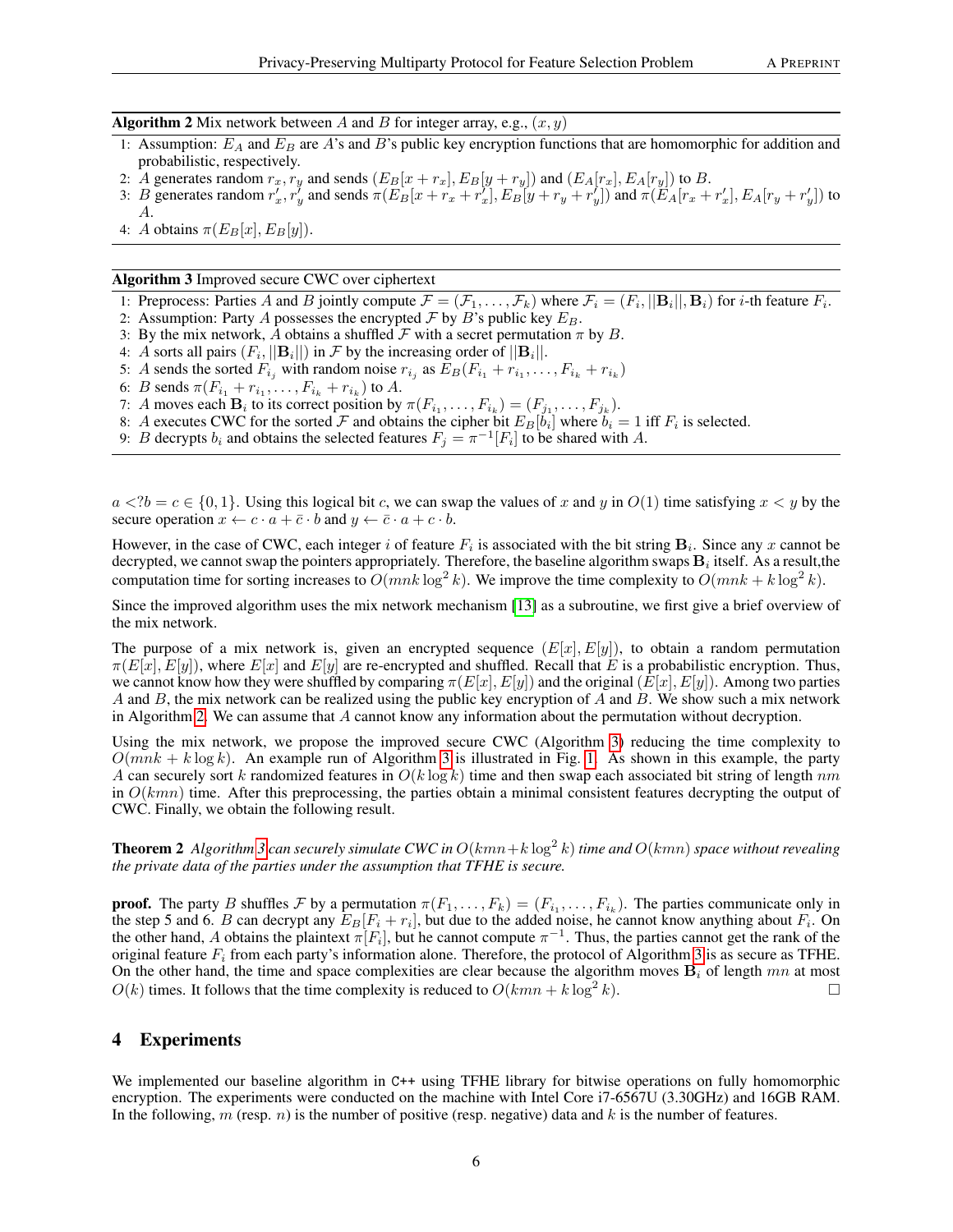<span id="page-5-0"></span>**Algorithm 2** Mix network between A and B for integer array, e.g.,  $(x, y)$ 

- 1: Assumption:  $E_A$  and  $E_B$  are A's and B's public key encryption functions that are homomorphic for addition and probabilistic, respectively.
- 2: A generates random  $r_x, r_y$  and sends  $(E_B[x + r_x], E_B[y + r_y])$  and  $(E_A[r_x], E_A[r_y])$  to B.
- 3: B generates random  $r'_x$ ,  $r'_y$  and sends  $\pi(E_B[x + r_x + r'_x], E_B[y + r_y + r'_y])$  and  $\pi(E_A[r_x + r'_x], E_A[r_y + r'_y])$  to A.
- 4: A obtains  $\pi(E_B[x], E_B[y])$ .

#### <span id="page-5-1"></span>Algorithm 3 Improved secure CWC over ciphertext

- 1: Preprocess: Parties A and B jointly compute  $\mathcal{F} = (\mathcal{F}_1, \dots, \mathcal{F}_k)$  where  $\mathcal{F}_i = (F_i, ||\mathbf{B}_i||, \mathbf{B}_i)$  for *i*-th feature  $F_i$ .
- 2: Assumption: Party A possesses the encrypted  $\mathcal F$  by  $B$ 's public key  $E_B$ .
- 3: By the mix network, A obtains a shuffled  $\mathcal F$  with a secret permutation  $\pi$  by B.
- 4: A sorts all pairs  $(F_i, ||\mathbf{B}_i||)$  in F by the increasing order of  $||\mathbf{B}_i||$ .
- 5: A sends the sorted  $F_{i_j}$  with random noise  $r_{i_j}$  as  $E_B(F_{i_1} + r_{i_1}, \ldots, F_{i_k} + r_{i_k})$
- 6: *B* sends  $\pi(F_{i_1} + r_{i_1}, \ldots, F_{i_k} + r_{i_k})$  to *A*.
- 7: A moves each  $\mathbf{B}_i$  to its correct position by  $\pi(F_{i_1}, \ldots, F_{i_k}) = (F_{j_1}, \ldots, F_{j_k})$ .
- 8: A executes CWC for the sorted F and obtains the cipher bit  $E_B[b_i]$  where  $b_i = 1$  iff  $F_i$  is selected.
- 9: B decrypts  $b_i$  and obtains the selected features  $F_j = \pi^{-1}[F_i]$  to be shared with A.

 $a < ?b = c \in \{0, 1\}$ . Using this logical bit c, we can swap the values of x and y in  $O(1)$  time satisfying  $x < y$  by the secure operation  $x \leftarrow c \cdot a + \bar{c} \cdot b$  and  $y \leftarrow \bar{c} \cdot a + c \cdot b$ .

However, in the case of CWC, each integer i of feature  $F_i$  is associated with the bit string  $B_i$ . Since any x cannot be decrypted, we cannot swap the pointers appropriately. Therefore, the baseline algorithm swaps  ${\bf B}_i$  itself. As a result,the computation time for sorting increases to  $O(mnk \log^2 k)$ . We improve the time complexity to  $O(mnk + k \log^2 k)$ .

Since the improved algorithm uses the mix network mechanism [\[13\]](#page-8-7) as a subroutine, we first give a brief overview of the mix network.

The purpose of a mix network is, given an encrypted sequence  $(E[x], E[y])$ , to obtain a random permutation  $\pi(E[x], E[y])$ , where  $E[x]$  and  $E[y]$  are re-encrypted and shuffled. Recall that E is a probabilistic encryption. Thus, we cannot know how they were shuffled by comparing  $\pi(E[x], E[y])$  and the original  $(E[x], E[y])$ . Among two parties A and B, the mix network can be realized using the public key encryption of A and B. We show such a mix network in Algorithm [2.](#page-5-0) We can assume that  $A$  cannot know any information about the permutation without decryption.

Using the mix network, we propose the improved secure CWC (Algorithm [3\)](#page-5-1) reducing the time complexity to  $O(mnk + k \log k)$ . An example run of Algorithm [3](#page-5-1) is illustrated in Fig. [1.](#page-6-0) As shown in this example, the party A can securely sort k randomized features in  $O(k \log k)$  time and then swap each associated bit string of length nm in  $O(kmn)$  time. After this preprocessing, the parties obtain a minimal consistent features decrypting the output of CWC. Finally, we obtain the following result.

**Theorem 2** Algorithm [3](#page-5-1) can securely simulate CWC in  $O(kmn + k \log^2 k)$  time and  $O(kmn)$  space without revealing *the private data of the parties under the assumption that TFHE is secure.*

**proof.** The party B shuffles F by a permutation  $\pi(F_1, \ldots, F_k) = (F_{i_1}, \ldots, F_{i_k})$ . The parties communicate only in the step 5 and 6. B can decrypt any  $E_B[F_i + r_i]$ , but due to the added noise, he cannot know anything about  $F_i$ . On the other hand, A obtains the plaintext  $\pi[F_i]$ , but he cannot compute  $\pi^{-1}$ . Thus, the parties cannot get the rank of the original feature  $F_i$  from each party's information alone. Therefore, the protocol of Algorithm [3](#page-5-1) is as secure as TFHE. On the other hand, the time and space complexities are clear because the algorithm moves  $B_i$  of length mn at most  $O(k)$  times. It follows that the time complexity is reduced to  $O(kmn + k \log^2 k)$ .  $k$ ).

# 4 Experiments

We implemented our baseline algorithm in C++ using TFHE library for bitwise operations on fully homomorphic encryption. The experiments were conducted on the machine with Intel Core i7-6567U (3.30GHz) and 16GB RAM. In the following, m (resp. n) is the number of positive (resp. negative) data and k is the number of features.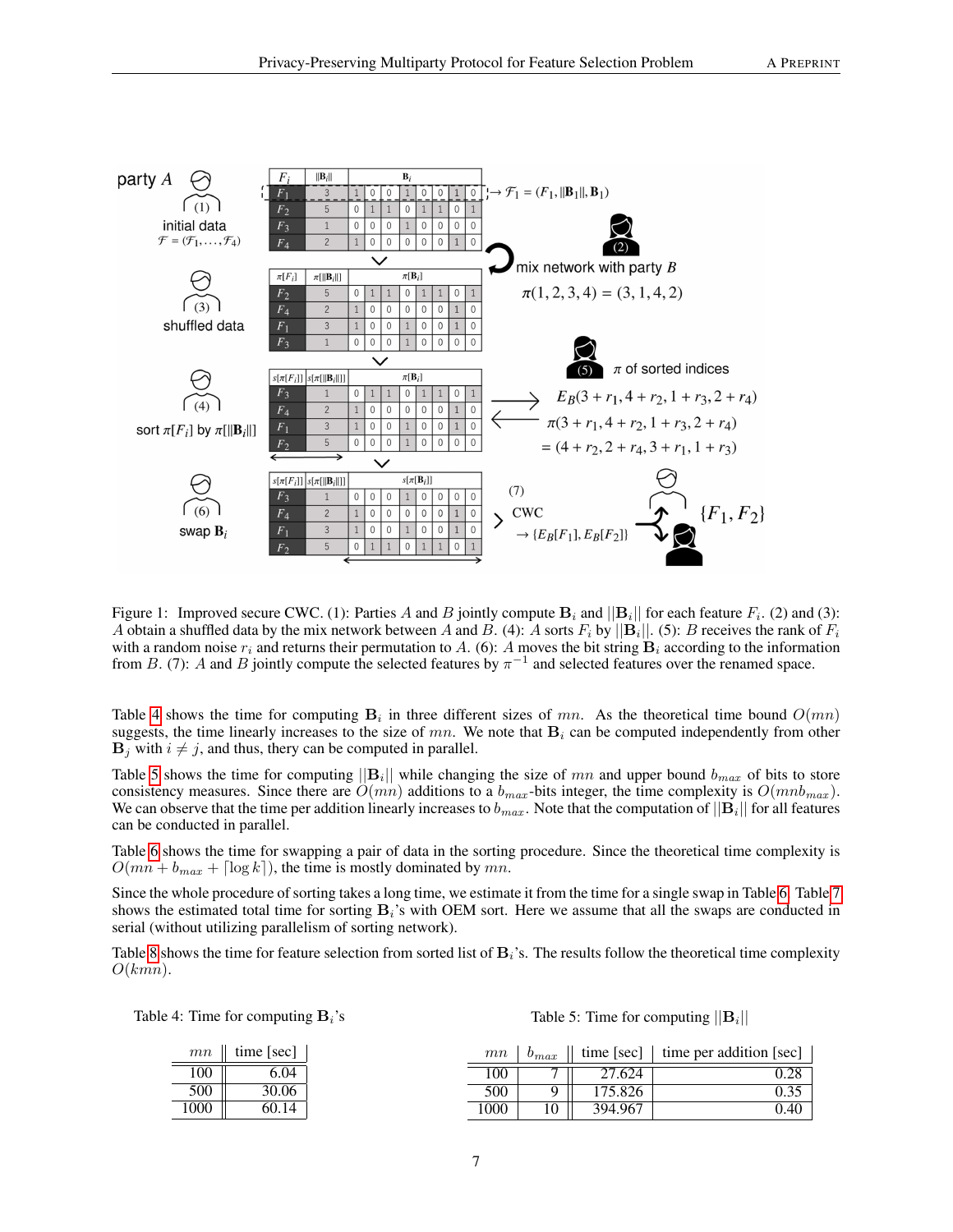

<span id="page-6-0"></span>Figure 1: Improved secure CWC. (1): Parties A and B jointly compute  $B_i$  and  $||B_i||$  for each feature  $F_i$ . (2) and (3): A obtain a shuffled data by the mix network between A and B. (4): A sorts  $F_i$  by  $||\mathbf{B}_i||$ . (5): B receives the rank of  $F_i$ with a random noise  $r_i$  and returns their permutation to A. (6): A moves the bit string  $B_i$  according to the information from B. (7): A and B jointly compute the selected features by  $\pi^{-1}$  and selected features over the renamed space.

Table [4](#page-6-1) shows the time for computing  $B_i$  in three different sizes of mn. As the theoretical time bound  $O(mn)$ suggests, the time linearly increases to the size of mn. We note that  $B_i$  can be computed independently from other  $\mathbf{B}_i$  with  $i \neq j$ , and thus, thery can be computed in parallel.

Table [5](#page-6-2) shows the time for computing  $||\mathbf{B}_i||$  while changing the size of mn and upper bound  $b_{max}$  of bits to store consistency measures. Since there are  $O(mn)$  additions to a  $b_{max}$ -bits integer, the time complexity is  $O(mnb_{max})$ . We can observe that the time per addition linearly increases to  $b_{max}$ . Note that the computation of  $||B_i||$  for all features can be conducted in parallel.

Table [6](#page-7-9) shows the time for swapping a pair of data in the sorting procedure. Since the theoretical time complexity is  $O(mn + b_{max} + \lceil \log k \rceil)$ , the time is mostly dominated by mn.

Since the whole procedure of sorting takes a long time, we estimate it from the time for a single swap in Table [6.](#page-7-9) Table [7](#page-7-10) shows the estimated total time for sorting  $B_i$ 's with OEM sort. Here we assume that all the swaps are conducted in serial (without utilizing parallelism of sorting network).

Table [8](#page-7-11) shows the time for feature selection from sorted list of  $B_i$ 's. The results follow the theoretical time complexity  $O(kmn)$ .

Table 4: Time for computing  $B_i$ 's

<span id="page-6-2"></span>Table 5: Time for computing  $||\mathbf{B}_i||$ 

<span id="page-6-1"></span>

| mn   | time [sec] |      | mn  | $v_{max}$ | time [sec] | $\vert$ time per addition [sec] |
|------|------------|------|-----|-----------|------------|---------------------------------|
| 100  | 6.04       |      | 00  |           | 27.624     | ∪.∠o                            |
| 500  | 30.06      |      | 500 |           | 175.826    |                                 |
| 1000 | 60.14      | 1000 |     | 10        | 394.967    | 0.40                            |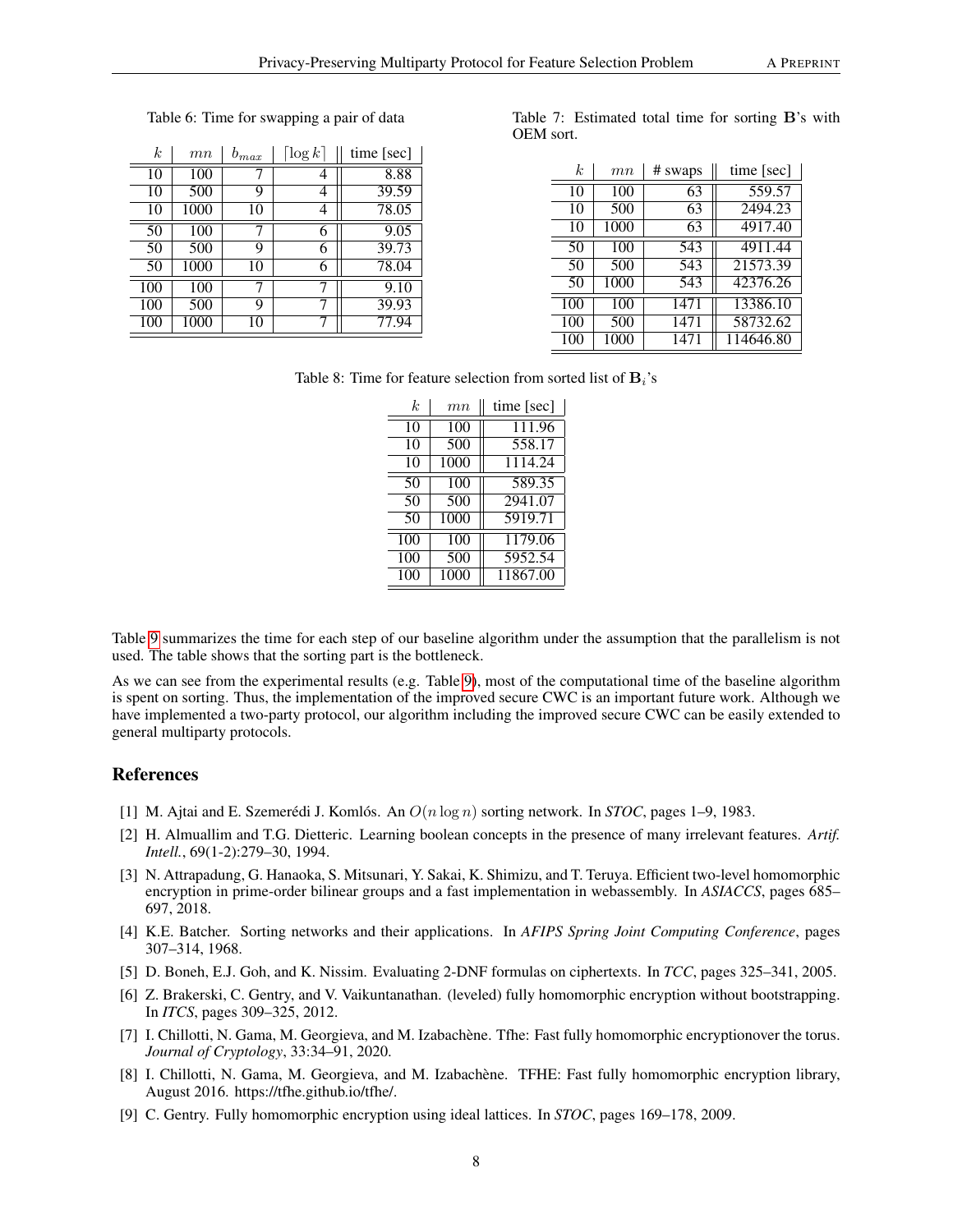| k.  | mn   | $b_{max}$ | $\lceil \log k \rceil$ | time $[sec]$ |
|-----|------|-----------|------------------------|--------------|
| 10  | 100  | 7         | 4                      | 8.88         |
| 10  | 500  | 9         | 4                      | 39.59        |
| 10  | 1000 | 10        | 4                      | 78.05        |
| 50  | 100  |           | 6                      | 9.05         |
| 50  | 500  | 9         | 6                      | 39.73        |
| 50  | 1000 | 10        | 6                      | 78.04        |
| 100 | 100  |           |                        | 9.10         |
| 100 | 500  | 9         |                        | 39.93        |
| 100 | 1000 | 10        |                        | 77.94        |

# <span id="page-7-9"></span>Table 6: Time for swapping a pair of data

|           | Table 7: Estimated total time for sorting B's with |  |  |  |
|-----------|----------------------------------------------------|--|--|--|
| OEM sort. |                                                    |  |  |  |

<span id="page-7-10"></span>

| k.  | mn   | # swaps | time [sec] |
|-----|------|---------|------------|
| 10  | 100  | 63      | 559.57     |
| 10  | 500  | 63      | 2494.23    |
| 10  | 1000 | 63      | 4917.40    |
| 50  | 100  | 543     | 4911.44    |
| 50  | 500  | 543     | 21573.39   |
| 50  | 1000 | 543     | 42376.26   |
| 100 | 100  | 1471    | 13386.10   |
| 100 | 500  | 1471    | 58732.62   |
| 100 | 1000 | 1471    | 114646.80  |

Table 8: Time for feature selection from sorted list of  $B_i$ 's

<span id="page-7-11"></span>

| k   | mn   | time [sec] |
|-----|------|------------|
| 10  | 100  | 111.96     |
| 10  | 500  | 558.17     |
| 10  | 1000 | 1114.24    |
| 50  | 100  | 589.35     |
| 50  | 500  | 2941.07    |
| 50  | 1000 | 5919.71    |
| 100 | 100  | 1179.06    |
| 100 | 500  | 5952.54    |
| 100 | 1000 | 11867.00   |

Table [9](#page-8-8) summarizes the time for each step of our baseline algorithm under the assumption that the parallelism is not used. The table shows that the sorting part is the bottleneck.

As we can see from the experimental results (e.g. Table [9\)](#page-8-8), most of the computational time of the baseline algorithm is spent on sorting. Thus, the implementation of the improved secure CWC is an important future work. Although we have implemented a two-party protocol, our algorithm including the improved secure CWC can be easily extended to general multiparty protocols.

# **References**

- <span id="page-7-7"></span>[1] M. Ajtai and E. Szemerédi J. Komlós. An  $O(n \log n)$  sorting network. In *STOC*, pages 1–9, 1983.
- <span id="page-7-0"></span>[2] H. Almuallim and T.G. Dietteric. Learning boolean concepts in the presence of many irrelevant features. *Artif. Intell.*, 69(1-2):279–30, 1994.
- <span id="page-7-1"></span>[3] N. Attrapadung, G. Hanaoka, S. Mitsunari, Y. Sakai, K. Shimizu, and T. Teruya. Efficient two-level homomorphic encryption in prime-order bilinear groups and a fast implementation in webassembly. In *ASIACCS*, pages 685– 697, 2018.
- <span id="page-7-8"></span>[4] K.E. Batcher. Sorting networks and their applications. In *AFIPS Spring Joint Computing Conference*, pages 307–314, 1968.
- <span id="page-7-2"></span>[5] D. Boneh, E.J. Goh, and K. Nissim. Evaluating 2-DNF formulas on ciphertexts. In *TCC*, pages 325–341, 2005.
- <span id="page-7-3"></span>[6] Z. Brakerski, C. Gentry, and V. Vaikuntanathan. (leveled) fully homomorphic encryption without bootstrapping. In *ITCS*, pages 309–325, 2012.
- <span id="page-7-5"></span>[7] I. Chillotti, N. Gama, M. Georgieva, and M. Izabachène. Tfhe: Fast fully homomorphic encryptionover the torus. *Journal of Cryptology*, 33:34–91, 2020.
- <span id="page-7-6"></span>[8] I. Chillotti, N. Gama, M. Georgieva, and M. Izabachène. TFHE: Fast fully homomorphic encryption library, August 2016. https://tfhe.github.io/tfhe/.
- <span id="page-7-4"></span>[9] C. Gentry. Fully homomorphic encryption using ideal lattices. In *STOC*, pages 169–178, 2009.